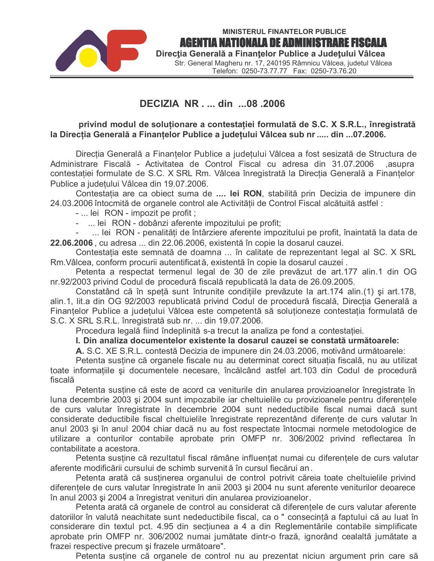

# DECIZIA NR . ... din ...08 .2006

## privind modul de soluționare a contestației formulată de S.C. X S.R.L., înregistrată la Direcția Generală a Finanțelor Publice a județului Vâlcea sub nr ..... din ...07.2006.

Direcția Generală a Finanțelor Publice a județului Vâlcea a fost sesizată de Structura de Administrare Fiscală - Activitatea de Control Fiscal cu adresa din 31.07.2006 ,asupra contestatiei formulate de S.C. X SRL Rm. Vâlcea înregistrată la Directia Generală a Finantelor Publice a judetului Vâlcea din 19.07.2006.

Contestația are ca obiect suma de .... lei RON, stabilită prin Decizia de impunere din 24.03.2006 întocmită de organele control ale Activității de Control Fiscal alcătuită astfel :

- ... lei RON impozit pe profit;
- ... lei RON dobânzi aferente impozitului pe profit;

... lei RON - penalități de întârziere aferente impozitului pe profit, înaintată la data de 22.06.2006, cu adresa ... din 22.06.2006, existentă în copie la dosarul cauzei.

Contestația este semnată de doamna ... în calitate de reprezentant legal al SC. X SRL Rm. Vâlcea, conform procurii autentificată, existentă în copie la dosarul cauzei.

Petenta a respectat termenul legal de 30 de zile prevăzut de art.177 alin.1 din OG nr.92/2003 privind Codul de procedură fiscală republicată la data de 26.09.2005.

Constatând că în speță sunt întrunite condițiile prevăzute la art.174 alin.(1) și art.178, alin.1, lit.a din OG 92/2003 republicată privind Codul de procedură fiscală, Direcția Generală a Finantelor Publice a județului Vâlcea este competentă să soluționeze contestația formulată de S.C. X SRL S.R.L. înregistrată sub nr. ... din 19.07.2006.

Procedura legală fiind îndeplinită s-a trecut la analiza pe fond a contestației.

## I. Din analiza documentelor existente la dosarul cauzei se constată următoarele:

A. S.C. XE S.R.L. contestă Decizia de impunere din 24.03.2006, motivând următoarele:

Petenta susține că organele fiscale nu au determinat corect situația fiscală, nu au utilizat toate informațiile și documentele necesare, încălcând astfel art.103 din Codul de procedură fiscală

Petenta sustine că este de acord ca veniturile din anularea provizioanelor înregistrate în luna decembrie 2003 și 2004 sunt impozabile iar cheltuielile cu provizioanele pentru diferentele de curs valutar înregistrate în decembrie 2004 sunt nedeductibile fiscal numai dacă sunt considerate deductibile fiscal cheltuielile înregistrate reprezentând diferențe de curs valutar în anul 2003 și în anul 2004 chiar dacă nu au fost respectate întocmai normele metodologice de utilizare a conturilor contabile aprobate prin OMFP nr. 306/2002 privind reflectarea în contabilitate a acestora.

Petenta sustine că rezultatul fiscal rămâne influentat numai cu diferentele de curs valutar aferente modificării cursului de schimb survenită în cursul fiecărui an.

Petenta arată că susținerea organului de control potrivit căreia toate cheltuielile privind diferentele de curs valutar înregistrate în anii 2003 și 2004 nu sunt aferente veniturilor deoarece în anul 2003 și 2004 a înregistrat venituri din anularea provizioanelor.

Petenta arată că organele de control au considerat că diferențele de curs valutar aferente datoriilor în valută neachitate sunt nedeductibile fiscal, ca o " consecință a faptului că au luat în considerare din textul pct. 4.95 din sectiunea a 4 a din Reglementările contabile simplificate aprobate prin OMFP nr. 306/2002 numai jumătate dintr-o frază, ignorând cealaltă jumătate a frazei respective precum și frazele următoare".

Petenta sustine că organele de control nu au prezentat niciun argument prin care să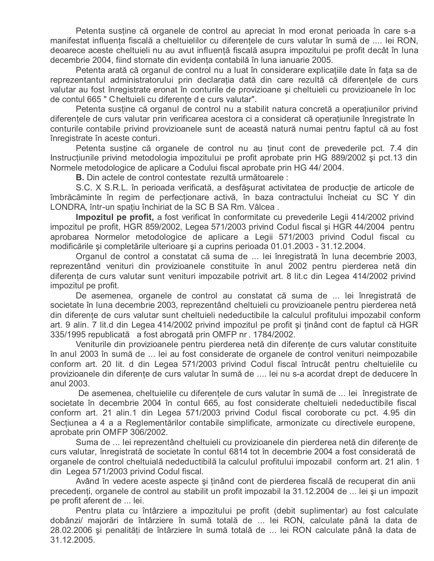Petenta sustine că organele de control au apreciat în mod eronat perioada în care s-a manifestat influenta fiscală a cheltuielilor cu diferentele de curs valutar în sumă de .... lei RON, deoarece aceste cheltuieli nu au avut influență fiscală asupra impozitului pe profit decât în luna decembrie 2004, fiind stornate din evidenta contabilă în luna ianuarie 2005.

Petenta arată că organul de control nu a luat în considerare explicațiile date în fața sa de reprezentantul administratorului prin declaratia dată din care rezultă că diferentele de curs valutar au fost înregistrate eronat în conturile de provizioane și cheltuieli cu provizioanele în loc de contul 665 " Cheltuieli cu diferențe de curs valutar".

Petenta sustine că organul de control nu a stabilit natura concretă a operațiunilor privind diferentele de curs valutar prin verificarea acestora ci a considerat că operatiunile înregistrate în conturile contabile privind provizioanele sunt de această natură numai pentru faptul că au fost înregistrate în aceste conturi.

Petenta sustine că organele de control nu au ținut cont de prevederile pct. 7.4 din Instructiunile privind metodologia impozitului pe profit aprobate prin HG 889/2002 și pct.13 din Normele metodologice de aplicare a Codului fiscal aprobate prin HG 44/2004.

B. Din actele de control contestate rezultă următoarele :

S.C. X S.R.L. în perioada verificată, a desfăsurat activitatea de productie de articole de îmbrăcăminte în regim de perfecționare activă, în baza contractului încheiat cu SC Y din LONDRA, într-un spatiu închiriat de la SC B SA Rm. Vâlcea.

Impozitul pe profit, a fost verificat în conformitate cu prevederile Legii 414/2002 privind impozitul pe profit, HGR 859/2002, Legea 571/2003 privind Codul fiscal și HGR 44/2004 pentru aprobarea Normelor metodologice de aplicare a Legii 571/2003 privind Codul fiscal cu modificările și completările ulterioare și a cuprins perioada 01.01.2003 - 31.12.2004.

Organul de control a constatat că suma de ... lei înregistrată în luna decembrie 2003, reprezentând venituri din provizioanele constituite în anul 2002 pentru pierderea netă din diferența de curs valutar sunt venituri impozabile potrivit art. 8 lit.c din Legea 414/2002 privind impozitul pe profit.

De asemenea, organele de control au constatat că suma de ... lei înregistrată de societate în luna decembrie 2003, reprezentând cheltuieli cu provizioanele pentru pierderea netă din diferențe de curs valutar sunt cheltuieli nedeductibile la calculul profitului impozabil conform art. 9 alin. 7 lit.d din Legea 414/2002 privind impozitul pe profit si tinând cont de faptul că HGR 335/1995 republicată a fost abrogată prin OMFP nr. 1784/2002.

Veniturile din provizioanele pentru pierderea netă din diferente de curs valutar constituite în anul 2003 în sumă de ... lei au fost considerate de organele de control venituri neimpozabile conform art. 20 lit. d din Legea 571/2003 privind Codul fiscal întrucât pentru cheltuielile cu provizioanele din diferente de curs valutar în sumă de .... lei nu s-a acordat drept de deducere în anul 2003.

De asemenea, cheltuielile cu diferențele de curs valutar în sumă de ... lei înregistrate de societate în decembrie 2004 în contul 665, au fost considerate cheltuieli nedeductibile fiscal conform art. 21 alin.1 din Legea 571/2003 privind Codul fiscal coroborate cu pct. 4.95 din Sectiunea a 4 a a Reglementărilor contabile simplificate, armonizate cu directivele europene, aprobate prin OMFP 306/2002.

Suma de ... lei reprezentând cheltuieli cu provizioanele din pierderea netă din diferente de curs valutar, înregistrată de societate în contul 6814 tot în decembrie 2004 a fost considerată de organele de control cheltuială nedeductibilă la calculul profitului impozabil conform art. 21 alin. 1 din Legea 571/2003 privind Codul fiscal.

Având în vedere aceste aspecte si tinând cont de pierderea fiscală de recuperat din anii precedenti, organele de control au stabilit un profit impozabil la 31.12.2004 de ... lei și un impozit pe profit aferent de ... lei.

Pentru plata cu întârziere a impozitului pe profit (debit suplimentar) au fost calculate dobânzi/ majorări de întârziere în sumă totală de ... lei RON, calculate până la data de 28.02.2006 și penalități de întârziere în sumă totală de ... lei RON calculate până la data de 31.12.2005.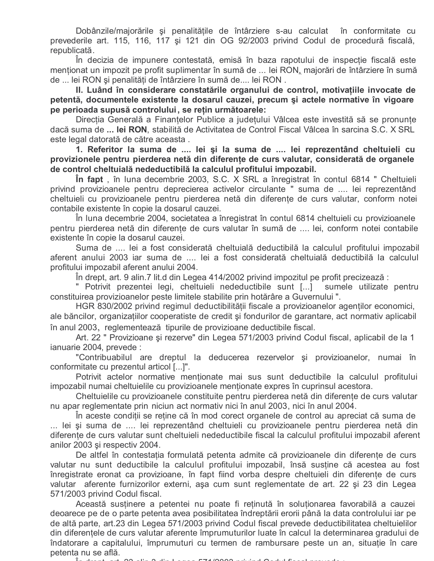Dobânzile/majorările și penalitătile de întârziere s-au calculat în conformitate cu prevederile art. 115, 116, 117 și 121 din OG 92/2003 privind Codul de procedură fiscală, republicată.

În decizia de impunere contestată, emisă în baza rapotului de inspecție fiscală este menționat un impozit pe profit suplimentar în sumă de ... lei RON, majorări de întârziere în sumă de ... lei RON și penalități de întârziere în sumă de.... lei RON.

II. Luând în considerare constatările organului de control, motivațiile invocate de petentă, documentele existente la dosarul cauzei, precum și actele normative în vigoare pe perioada supusă controlului, se retin următoarele:

Direcția Generală a Finanțelor Publice a județului Vâlcea este investită să se pronunțe dacă suma de ... lei RON, stabilită de Activitatea de Control Fiscal Vâlcea în sarcina S.C. X SRL este legal datorată de către aceasta.

1. Referitor la suma de .... lei și la suma de .... lei reprezentând cheltuieli cu provizionele pentru pierderea netă din diferențe de curs valutar, considerată de organele de control cheltuială nedeductibilă la calculul profitului impozabil.

In fapt, în luna decembrie 2003, S.C. X SRL a înregistrat în contul 6814 " Cheltuieli privind provizioanele pentru deprecierea activelor circulante " suma de ... lei reprezentând cheltuieli cu provizioanele pentru pierderea netă din diferente de curs valutar, conform notei contabile existente în copie la dosarul cauzei.

În luna decembrie 2004, societatea a înregistrat în contul 6814 cheltuieli cu provizioanele pentru pierderea netă din diferente de curs valutar în sumă de .... lei, conform notei contabile existente în copie la dosarul cauzei.

Suma de .... lei a fost considerată cheltuială deductibilă la calculul profitului impozabil aferent anului 2003 iar suma de .... lei a fost considerată cheltuială deductibilă la calculul profitului impozabil aferent anului 2004.

În drept, art. 9 alin.7 lit.d din Legea 414/2002 privind impozitul pe profit precizează :

" Potrivit prezentei legi, cheltuieli nedeductibile sunt [...] sumele utilizate pentru constituirea provizioanelor peste limitele stabilite prin hotărâre a Guvernului".

HGR 830/2002 privind regimul deductibilității fiscale a provizioanelor agenților economici, ale băncilor, organizațiilor cooperatiste de credit și fondurilor de garantare, act normativ aplicabil în anul 2003, reglementează tipurile de provizioane deductibile fiscal.

Art. 22 " Provizioane și rezerve" din Legea 571/2003 privind Codul fiscal, aplicabil de la 1 ianuarie 2004, prevede :

"Contribuabilul are dreptul la deducerea rezervelor și provizioanelor, numai în conformitate cu prezentul articol [...]".

Potrivit actelor normative mentionate mai sus sunt deductibile la calculul profitului impozabil numai cheltuielile cu provizioanele mentionate expres în cuprinsul acestora.

Cheltuielile cu provizioanele constituite pentru pierderea netă din diferențe de curs valutar nu apar reglementate prin niciun act normativ nici în anul 2003, nici în anul 2004.

În aceste condiții se reține că în mod corect organele de control au apreciat că suma de ... lei și suma de .... lei reprezentând cheltuieli cu provizioanele pentru pierderea netă din diferențe de curs valutar sunt cheltuieli nedeductibile fiscal la calculul profitului impozabil aferent anilor 2003 și respectiv 2004.

De altfel în contestația formulată petenta admite că provizioanele din diferențe de curs valutar nu sunt deductibile la calculul profitului impozabil, însă sustine că acestea au fost înregistrate eronat ca provizioane, în fapt fiind vorba despre cheltuieli din diferente de curs valutar aferente furnizorilor externi, așa cum sunt reglementate de art. 22 și 23 din Legea 571/2003 privind Codul fiscal.

Această sustinere a petentei nu poate fi retinută în solutionarea favorabilă a cauzei deoarece pe de o parte petenta avea posibilitatea îndreptării erorii până la data controlului iar pe de altă parte, art.23 din Legea 571/2003 privind Codul fiscal prevede deductibilitatea cheltuielilor din diferențele de curs valutar aferente împrumuturilor luate în calcul la determinarea gradului de îndatorare a capitalului, împrumuturi cu termen de rambursare peste un an, situație în care petenta nu se află.

 $-710000$   $-10010$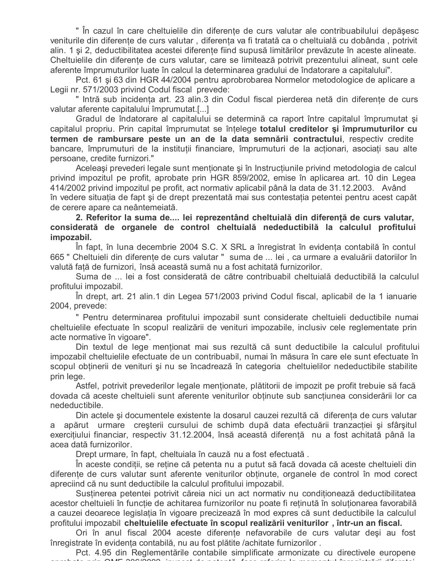" În cazul în care cheltuielile din diferente de curs valutar ale contribuabilului depășesc veniturile din diferențe de curs valutar, diferența va fi tratată ca o cheltuială cu dobânda, potrivit alin. 1 și 2, deductibilitatea acestei diferențe fiind supusă limitărilor prevăzute în aceste alineate. Cheltuielile din diferențe de curs valutar, care se limitează potrivit prezentului alineat, sunt cele aferente împrumuturilor luate în calcul la determinarea gradului de îndatorare a capitalului".

Pct. 61 și 63 din HGR 44/2004 pentru aprobrobarea Normelor metodologice de aplicare a Legii nr. 571/2003 privind Codul fiscal prevede:

" Intră sub incidența art. 23 alin.3 din Codul fiscal pierderea netă din diferențe de curs valutar aferente capitalului împrumutat.[...]

Gradul de îndatorare al capitalului se determină ca raport între capitalul împrumutat și capitalul propriu. Prin capital împrumutat se întelege totalul creditelor și împrumuturilor cu termen de rambursare peste un an de la data semnării contractului, respectiv credite bancare, împrumuturi de la institutii financiare, împrumuturi de la actionari, asociati sau alte persoane, credite furnizori."

Aceleasi prevederi legale sunt mentionate și în Instructiunile privind metodologia de calcul privind impozitul pe profit, aprobate prin HGR 859/2002, emise în aplicarea art. 10 din Legea 414/2002 privind impozitul pe profit, act normativ aplicabil până la data de 31.12.2003. Având în vedere situația de fapt și de drept prezentată mai sus contestația petentei pentru acest capăt de cerere apare ca neântemeiată.

#### 2. Referitor la suma de.... lei reprezentând cheltuială din diferență de curs valutar, considerată de organele de control cheltuială nedeductibilă la calculul profitului impozabil.

In fapt, în luna decembrie 2004 S.C. X SRL a înregistrat în evidența contabilă în contul 665 " Cheltuieli din diferențe de curs valutar " suma de ... lei, ca urmare a evaluării datoriilor în valută fată de furnizori, însă această sumă nu a fost achitată furnizorilor.

Suma de ... lei a fost considerată de către contribuabil cheltuială deductibilă la calculul profitului impozabil.

În drept, art. 21 alin.1 din Legea 571/2003 privind Codul fiscal, aplicabil de la 1 ianuarie 2004, prevede:

" Pentru determinarea profitului impozabil sunt considerate cheltuieli deductibile numai cheltuielile efectuate în scopul realizării de venituri impozabile, inclusiv cele reglementate prin acte normative în vigoare".

Din textul de lege menționat mai sus rezultă că sunt deductibile la calculul profitului impozabil cheltuielile efectuate de un contribuabil, numai în măsura în care ele sunt efectuate în scopul obtinerii de venituri și nu se încadrează în categoria cheltuielilor nedeductibile stabilite prin lege.

Astfel, potrivit prevederilor legale mentionate, plătitorii de impozit pe profit trebuie să facă dovada că aceste cheltuieli sunt aferente veniturilor obținute sub sancțiunea considerării lor ca nedeductibile.

Din actele si documentele existente la dosarul cauzei rezultă că diferenta de curs valutar a apărut urmare creșterii cursului de schimb după data efectuării tranzactiei și sfârșitul exercitiului financiar, respectiv 31.12.2004, însă această diferentă nu a fost achitată până la acea dată furnizorilor.

Drept urmare, în fapt, cheltuiala în cauză nu a fost efectuată.

În aceste conditii, se retine că petenta nu a putut să facă dovada că aceste cheltuieli din diferente de curs valutar sunt aferente veniturilor obtinute, organele de control în mod corect apreciind că nu sunt deductibile la calculul profitului impozabil.

Sustinerea petentei potrivit căreia nici un act normativ nu condiționează deductibilitatea acestor cheltuieli în funcție de achitarea furnizorilor nu poate fi reținută în soluționarea favorabilă a cauzei deoarece legislația în vigoare precizează în mod expres că sunt deductibile la calculul profitului impozabil cheltuielile efectuate în scopul realizării veniturilor, într-un an fiscal.

Ori în anul fiscal 2004 aceste diferențe nefavorabile de curs valutar deși au fost înregistrate în evidenta contabilă, nu au fost plătite /achitate furnizorilor.

Pct. 4.95 din Reglementările contabile simplificate armonizate cu directivele europene